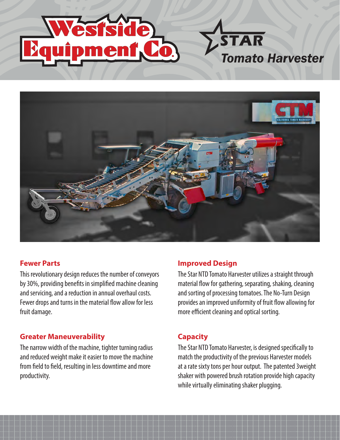



# **Fewer Parts**

This revolutionary design reduces the number of conveyors by 30%, providing benefits in simplified machine cleaning and servicing, and a reduction in annual overhaul costs. Fewer drops and turns in the material flow allow for less fruit damage.

## **Greater Maneuverability**

The narrow width of the machine, tighter turning radius and reduced weight make it easier to move the machine from field to field, resulting in less downtime and more productivity.

## **Improved Design**

The Star NTD Tomato Harvester utilizes a straight through material flow for gathering, separating, shaking, cleaning and sorting of processing tomatoes. The No-Turn Design provides an improved uniformity of fruit flow allowing for more efficient cleaning and optical sorting.

*Tomato Harvester*

**STAR** 

## **Capacity**

The Star NTD Tomato Harvester, is designed specifically to match the productivity of the previous Harvester models at a rate sixty tons per hour output. The patented 3weight shaker with powered brush rotation provide high capacity while virtually eliminating shaker plugging.